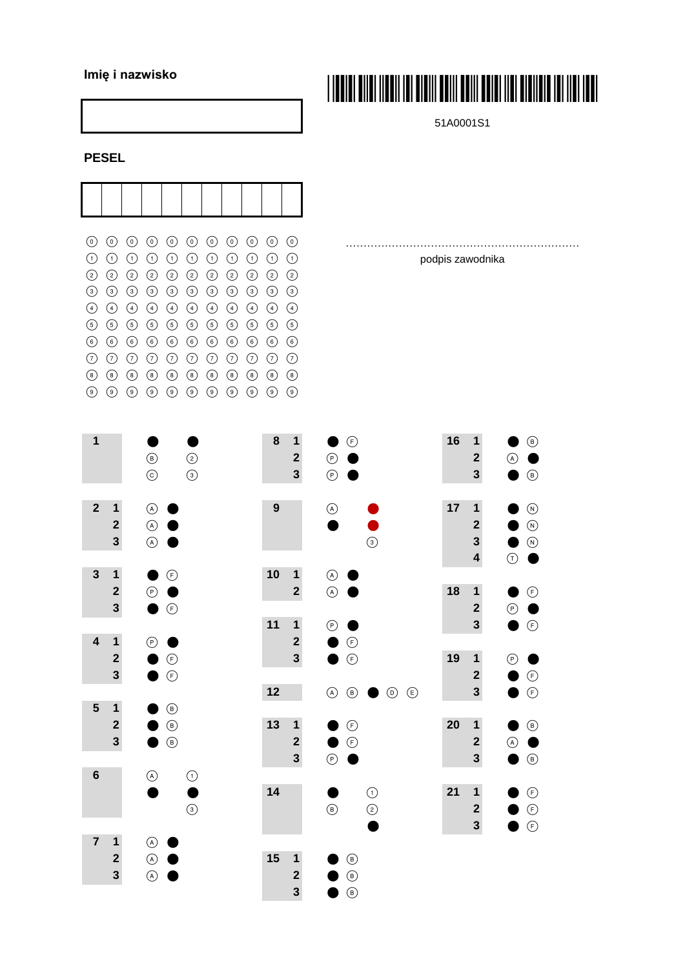

| $\mathbf{1}$                                                            | $\odot$<br>$\textcircled{\scriptsize 0}$<br>$\odot$<br>$\circledcirc$                                                                                                                                                                                                                                                                                                                                                                                                                                                                                                                                                                                                                                                  | $\bf8$<br>$\mathbf{1}$<br>$\mathbf{2}$<br>$\mathbf{3}$                   | $\bigodot$<br>$\odot$<br>$\textcircled{\small{P}}$                                                                                                                                                                                                                                                                                                                                                                                                                                                                                                                                                                                                                                                                    | 16<br>$\mathbf{1}$<br>$\mathbf 2$<br>3                                 | $\textcircled{\scriptsize 0}$<br>$\bullet$<br>$\bigcirc$<br>$\textcircled{\scriptsize 0}$                 |
|-------------------------------------------------------------------------|------------------------------------------------------------------------------------------------------------------------------------------------------------------------------------------------------------------------------------------------------------------------------------------------------------------------------------------------------------------------------------------------------------------------------------------------------------------------------------------------------------------------------------------------------------------------------------------------------------------------------------------------------------------------------------------------------------------------|--------------------------------------------------------------------------|-----------------------------------------------------------------------------------------------------------------------------------------------------------------------------------------------------------------------------------------------------------------------------------------------------------------------------------------------------------------------------------------------------------------------------------------------------------------------------------------------------------------------------------------------------------------------------------------------------------------------------------------------------------------------------------------------------------------------|------------------------------------------------------------------------|-----------------------------------------------------------------------------------------------------------|
| $\mathbf{2}$<br>$\mathbf{1}$<br>$\mathbf 2$<br>3                        | $\circledA$<br>$\begin{picture}(20,20) \put(0,0){\line(1,0){10}} \put(15,0){\line(1,0){10}} \put(15,0){\line(1,0){10}} \put(15,0){\line(1,0){10}} \put(15,0){\line(1,0){10}} \put(15,0){\line(1,0){10}} \put(15,0){\line(1,0){10}} \put(15,0){\line(1,0){10}} \put(15,0){\line(1,0){10}} \put(15,0){\line(1,0){10}} \put(15,0){\line(1,0){10}} \put(15,0){\line(1$<br>$\bigcirc$                                                                                                                                                                                                                                                                                                                                       | $\boldsymbol{9}$                                                         | $\begin{picture}(20,20) \put(0,0){\line(1,0){10}} \put(15,0){\line(1,0){10}} \put(15,0){\line(1,0){10}} \put(15,0){\line(1,0){10}} \put(15,0){\line(1,0){10}} \put(15,0){\line(1,0){10}} \put(15,0){\line(1,0){10}} \put(15,0){\line(1,0){10}} \put(15,0){\line(1,0){10}} \put(15,0){\line(1,0){10}} \put(15,0){\line(1,0){10}} \put(15,0){\line(1$<br>$\circledcirc$                                                                                                                                                                                                                                                                                                                                                 | 17<br>$\mathbf{1}$<br>$\boldsymbol{2}$<br>3<br>$\overline{\mathbf{4}}$ | $\circledR$<br>$\textcircled{\scriptsize 1}$<br>$\textcircled{\scriptsize{N}}$<br>$\bigodot$<br>$\bullet$ |
| $\overline{\mathbf{3}}$<br>$\mathbf{1}$<br>$\overline{\mathbf{2}}$<br>3 | $\bigodot$<br>$\textcircled{\small{P}}$<br>D<br>$\odot$                                                                                                                                                                                                                                                                                                                                                                                                                                                                                                                                                                                                                                                                | 10<br>$\mathbf{1}$<br>$\overline{\mathbf{c}}$<br>11<br>$\mathbf{1}$      | $\begin{picture}(20,20) \put(0,0){\line(1,0){10}} \put(15,0){\line(1,0){10}} \put(15,0){\line(1,0){10}} \put(15,0){\line(1,0){10}} \put(15,0){\line(1,0){10}} \put(15,0){\line(1,0){10}} \put(15,0){\line(1,0){10}} \put(15,0){\line(1,0){10}} \put(15,0){\line(1,0){10}} \put(15,0){\line(1,0){10}} \put(15,0){\line(1,0){10}} \put(15,0){\line(1$<br>$\begin{picture}(40,4) \put(0,0){\line(1,0){155}} \put(0,0){\line(1,0){155}} \put(0,0){\line(1,0){155}} \put(0,0){\line(1,0){155}} \put(0,0){\line(1,0){155}} \put(0,0){\line(1,0){155}} \put(0,0){\line(1,0){155}} \put(0,0){\line(1,0){155}} \put(0,0){\line(1,0){155}} \put(0,0){\line(1,0){155}} \put(0,0){\line(1,0){155}} \put(0,0){\line(1,$<br>$\odot$ | $\mathbf{1}$<br>18<br>$\mathbf{2}$<br>3                                | $\bigodot$<br>$\bullet$<br>$\textcircled{\small{P}}$<br>$\bigodot$                                        |
| $\mathbf 1$<br>$\overline{\mathbf{4}}$<br>$\mathbf{2}$<br>3             | $\odot$<br>$\bigodot$<br>0<br>$\bigodot$<br>●                                                                                                                                                                                                                                                                                                                                                                                                                                                                                                                                                                                                                                                                          | $\mathbf{2}$<br>$\overline{\mathbf{3}}$<br>12                            | $\bigodot$<br>$\bigodot$<br>$\begin{picture}(20,20) \put(0,0){\line(1,0){10}} \put(15,0){\line(1,0){10}} \put(15,0){\line(1,0){10}} \put(15,0){\line(1,0){10}} \put(15,0){\line(1,0){10}} \put(15,0){\line(1,0){10}} \put(15,0){\line(1,0){10}} \put(15,0){\line(1,0){10}} \put(15,0){\line(1,0){10}} \put(15,0){\line(1,0){10}} \put(15,0){\line(1,0){10}} \put(15,0){\line(1$<br>$\textcircled{\scriptsize 0}$<br>$\textcircled{\scriptsize 0}$<br>$\bigcirc$<br>D                                                                                                                                                                                                                                                  | $\mathbf{1}$<br>19<br>$\boldsymbol{2}$<br>3                            | $^{\circ}$<br>۹<br>$\bigodot$<br>$\bigodot$                                                               |
| $\overline{1}$<br>$\overline{\mathbf{5}}$<br>$\mathbf{2}$<br>3          | $\textcircled{\scriptsize 0}$<br>$\textcircled{\scriptsize 1}$<br>$\textcircled{\scriptsize 1}$                                                                                                                                                                                                                                                                                                                                                                                                                                                                                                                                                                                                                        | 13<br>$\mathbf{1}$<br>$\overline{\mathbf{2}}$<br>$\overline{\mathbf{3}}$ | $\bigodot$<br>$\bigodot$<br>$\odot$<br>D                                                                                                                                                                                                                                                                                                                                                                                                                                                                                                                                                                                                                                                                              | $\mathbf{1}$<br>20<br>$\mathbf{2}$<br>$\overline{\mathbf{3}}$          | $\textcircled{\scriptsize 0}$<br>$\bigcirc$<br>$\bullet$<br>$\textcircled{\scriptsize 1}$                 |
| $\boldsymbol{6}$                                                        | $\begin{picture}(20,20) \put(0,0){\line(1,0){155}} \put(15,0){\line(1,0){155}} \put(15,0){\line(1,0){155}} \put(15,0){\line(1,0){155}} \put(15,0){\line(1,0){155}} \put(15,0){\line(1,0){155}} \put(15,0){\line(1,0){155}} \put(15,0){\line(1,0){155}} \put(15,0){\line(1,0){155}} \put(15,0){\line(1,0){155}} \put(15,0){\line(1,0){155}} \$<br>$\bigodot$<br>$\circledcirc$                                                                                                                                                                                                                                                                                                                                          | 14                                                                       | $\odot$<br>$\odot$<br>$\textcircled{\scriptsize 0}$                                                                                                                                                                                                                                                                                                                                                                                                                                                                                                                                                                                                                                                                   | 21<br>$\mathbf{1}$<br>$\boldsymbol{2}$<br>$\overline{\mathbf{3}}$      | $\bigodot$<br>$\bigodot$<br>$\bigodot$                                                                    |
| $\overline{\mathbf{7}}$<br>$\mathbf 1$<br>$\mathbf 2$<br>3              | $\begin{picture}(20,20) \put(0,0){\line(1,0){10}} \put(15,0){\line(1,0){10}} \put(15,0){\line(1,0){10}} \put(15,0){\line(1,0){10}} \put(15,0){\line(1,0){10}} \put(15,0){\line(1,0){10}} \put(15,0){\line(1,0){10}} \put(15,0){\line(1,0){10}} \put(15,0){\line(1,0){10}} \put(15,0){\line(1,0){10}} \put(15,0){\line(1,0){10}} \put(15,0){\line(1$<br>$\bigcircledA$<br>$\begin{picture}(20,20) \put(0,0){\line(1,0){155}} \put(15,0){\line(1,0){155}} \put(15,0){\line(1,0){155}} \put(15,0){\line(1,0){155}} \put(15,0){\line(1,0){155}} \put(15,0){\line(1,0){155}} \put(15,0){\line(1,0){155}} \put(15,0){\line(1,0){155}} \put(15,0){\line(1,0){155}} \put(15,0){\line(1,0){155}} \put(15,0){\line(1,0){155}} \$ | 15<br>$\mathbf 1$<br>$\overline{\mathbf{c}}$<br>$\overline{\mathbf{3}}$  | $\circledcirc$<br>$\textcircled{\scriptsize 0}$<br>$\begin{picture}(20,20) \put(0,0){\line(1,0){10}} \put(15,0){\line(1,0){10}} \put(25,0){\line(1,0){10}} \put(25,0){\line(1,0){10}} \put(25,0){\line(1,0){10}} \put(25,0){\line(1,0){10}} \put(25,0){\line(1,0){10}} \put(25,0){\line(1,0){10}} \put(25,0){\line(1,0){10}} \put(25,0){\line(1,0){10}} \put(25,0){\line(1,0){10}} \put(25,0){\line(1$                                                                                                                                                                                                                                                                                                                |                                                                        |                                                                                                           |